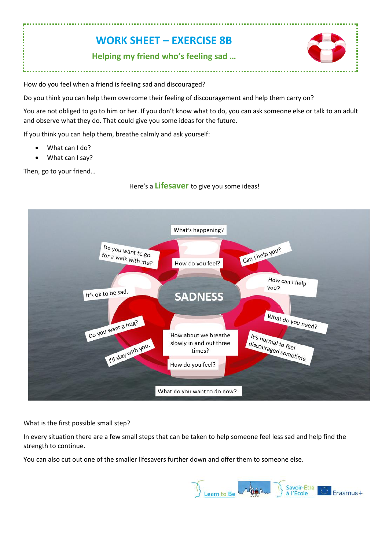## **WORK SHEET – EXERCISE 8B**

**Helping my friend who's feeling sad …**



How do you feel when a friend is feeling sad and discouraged?

Do you think you can help them overcome their feeling of discouragement and help them carry on?

You are not obliged to go to him or her. If you don't know what to do, you can ask someone else or talk to an adult and observe what they do. That could give you some ideas for the future.

If you think you can help them, breathe calmly and ask yourself:

- What can I do?
- What can I say?

Then, go to your friend…

Here's a **Lifesaver** to give you some ideas!



What is the first possible small step?

In every situation there are a few small steps that can be taken to help someone feel less sad and help find the strength to continue.

You can also cut out one of the smaller lifesavers further down and offer them to someone else.